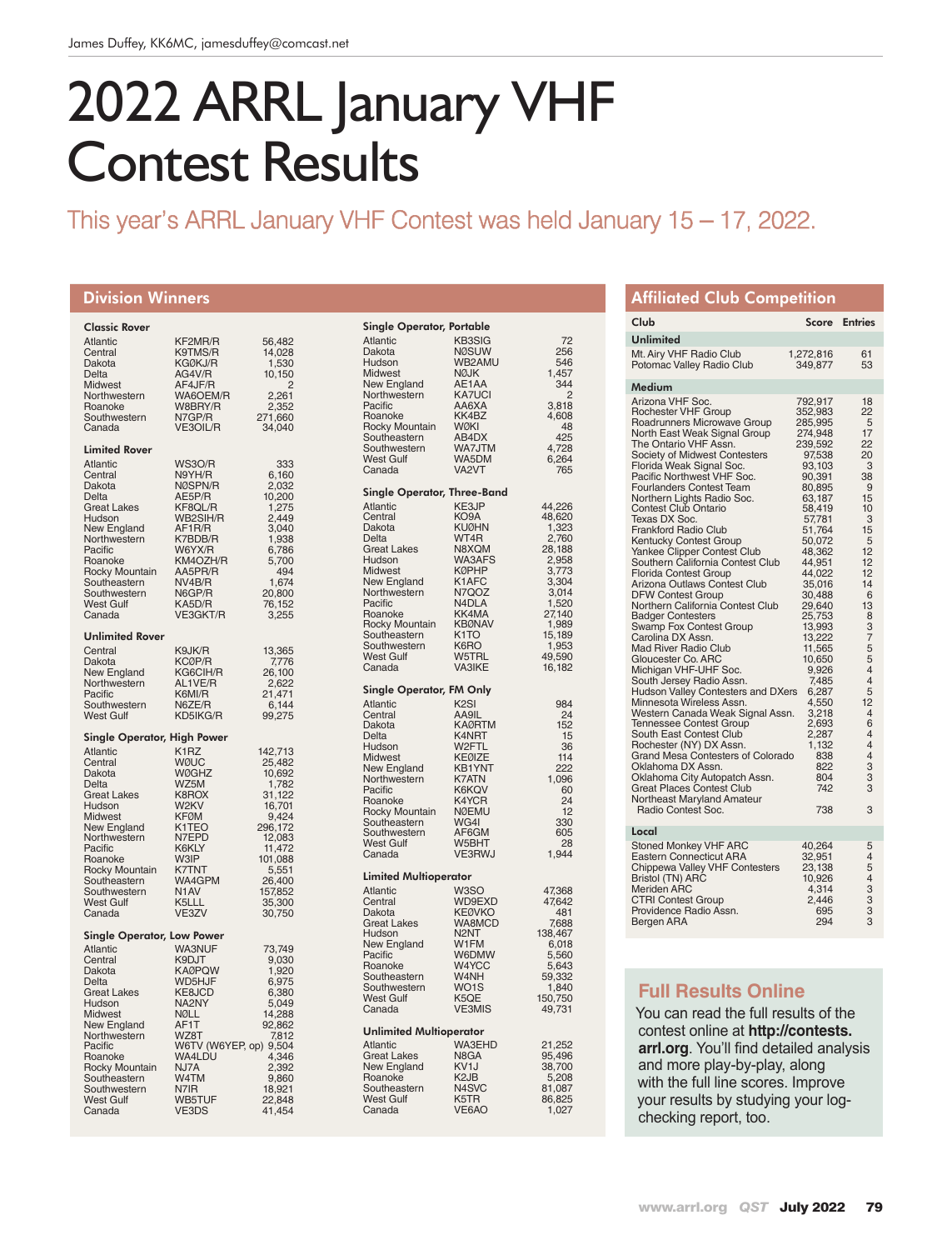# 2022 ARRL January VHF Contest Results

# This year's ARRL January VHF Contest was held January 15 – 17, 2022.

#### Division Winners

| Classic Rover<br><b>Atlantic</b><br>Central<br>Dakota<br><b>Delta</b><br>Midwest<br>Northwestern<br>Roanoke<br>Southwestern                                                                                                                                 | KF2MR/R<br>K9TMS/R<br>KGØKJ/R<br>AG4V/R<br>AF4JF/R<br>WA6OEM/R<br>W8BRY/R<br>N7GP/R                                                                                                        | 56,482<br>14,028<br>1,530<br>10,150<br>$\overline{c}$<br>2,261<br>2,352<br>271,660<br>34,040                                                                        |
|-------------------------------------------------------------------------------------------------------------------------------------------------------------------------------------------------------------------------------------------------------------|--------------------------------------------------------------------------------------------------------------------------------------------------------------------------------------------|---------------------------------------------------------------------------------------------------------------------------------------------------------------------|
| Canada                                                                                                                                                                                                                                                      | VE3OIL/R                                                                                                                                                                                   |                                                                                                                                                                     |
| <b>Limited Rover</b><br><b>Atlantic</b><br>Central<br>Dakota<br>Delta<br><b>Great Lakes</b><br>Hudson<br>New England<br>Northwestern<br>Pacific<br>Roanoke<br>Rocky Mountain<br>Southeastern<br>Southwestern<br>West Gulf<br>Canada                         | WS3O/R<br>N9YH/R<br>NØSPN/R<br>AE5P/R<br>KF8QL/R<br>WB2SIH/R<br>AF1R/R<br>K7BDB/R<br>W6YX/R<br>KM4OZH/R<br>AA5PR/R<br>NV4B/R<br>N6GP/R<br>KA5D/R<br>VE3GKT/R                               | 333<br>6,160<br>2,032<br>10,200<br>1,275<br>2,449<br>3,040<br>1,938<br>5,700<br>494<br>1,674<br>20,800<br>76,152<br>3,255                                           |
| <b>Unlimited Rover</b><br>Central<br>Dakota<br>New England<br>Northwestern<br>Pacific<br>Southwestern<br>West Gulf                                                                                                                                          | K9JK/R<br>KCØP/R<br>KG6CIH/R<br>AL1VE/R<br>K6MI/R<br>N6ZE/R<br>KD5IKG/R                                                                                                                    | 13,365<br>7,776<br>26,100<br>2,622<br>21,471<br>6,144<br>99,275                                                                                                     |
| Single Operator, High Power<br>Atlantic<br>Central<br>Dakota<br>Delta<br><b>Great Lakes</b><br>Hudson<br>Midwest<br>New England<br>Northwestern<br>Pacific<br>Roanoke<br>Rocky Mountain<br>Southeastern<br>Southwestern<br><b>West Gulf</b><br>Canada       | K <sub>1</sub> R <sub>Z</sub><br>WØUC<br><b>WØGHZ</b><br>WZ5M<br>K8ROX<br>W2KV<br><b>KFØM</b><br>K1TEO<br>N7EPD<br>K6KLY<br>W3IP<br>K7TNT<br>WA4GPM<br>N <sub>1</sub> AV<br>K5LLL<br>VE3ZV | 142,713<br>25,482<br>10,692<br>1,782<br>31,122<br>16,701<br>9,424<br>296,172<br>12,083<br>11,472<br>101,088<br>5,551<br>26,400<br>157,852<br>35,300<br>30,750       |
| <b>Single Operator, Low Power</b><br><b>Atlantic</b><br>Central<br>Dakota<br>Delta<br><b>Great Lakes</b><br>Hudson<br>Midwest<br>New England<br>Northwestern<br>Pacific<br>Roanoke<br>Rocky Mountain<br>Southeastern<br>Southwestern<br>West Gulf<br>Canada | <b>WA3NUF</b><br>K9DJT<br><b>KAØPQW</b><br>WD5HJF<br>KE8JCD<br>NA2NY<br>NØLL<br>AF1T<br>WZ8T<br>WA4LDU<br>NJ7A<br>W4TM<br>N7IR<br>WB5TUF<br>VE3DS                                          | 73,749<br>9,030<br>1,920<br>6,975<br>6,380<br>5,049<br>14,288<br>92,862<br>7,812<br>W6TV (W6YEP, op) 9,504<br>4,346<br>2,392<br>9,860<br>18,921<br>22,848<br>41,454 |

| Single Operator, Portable                                                                                                                                                                                                     |                                                                                                                                                                                             |                                                                                                                                            |
|-------------------------------------------------------------------------------------------------------------------------------------------------------------------------------------------------------------------------------|---------------------------------------------------------------------------------------------------------------------------------------------------------------------------------------------|--------------------------------------------------------------------------------------------------------------------------------------------|
| <b>Atlantic</b><br>Dakota<br>Hudson<br>Midwest<br>New England<br>Northwestern<br>Pacific<br>Roanoke<br>Rocky Mountain<br>Southeastern<br>Southwestern<br><b>West Gulf</b><br>Canada                                           | <b>KB3SIG</b><br><b>NØSUW</b><br>WB2AMU<br>NØJK<br>AE1AA<br><b>KA7UCI</b><br>AA6XA<br>KK4BZ<br><b>WØKI</b><br>AB4DX<br>WA7JTM<br>WA5DM<br>VA2VT                                             | 72<br>256<br>546<br>1,457<br>344<br>$\overline{2}$<br>3,818<br>4,608<br>48<br>425<br>4,728<br>6,264<br>765                                 |
| Single Operator, Three-Band                                                                                                                                                                                                   |                                                                                                                                                                                             |                                                                                                                                            |
| <b>Atlantic</b><br>Central<br>Dakota<br>Delta<br><b>Great Lakes</b><br>Hudson<br>Midwest<br>New England<br>Northwestern<br>Pacific<br>Roanoke<br>Rocky Mountain<br>Southeastern<br>Southwestern<br><b>West Gulf</b><br>Canada | KE3JP<br>KO9A<br><b>KUØHN</b><br>WT4R<br>N8XQM<br><b>WA3AFS</b><br><b>KØPHP</b><br>K1AFC<br>N7QOZ<br>N4DLA<br>KK4MA<br><b>KBØNAV</b><br>K <sub>1</sub> TO<br>K6RO<br>W5TRL<br><b>VA3IKE</b> | 44,226<br>48,620<br>1,323<br>28,188<br>2,958<br>3,773<br>3,304<br>3,014<br>1,520<br>27,140<br>1,989<br>15,189<br>1,953<br>49,590<br>16,182 |
| <b>Single Operator, FM Only</b>                                                                                                                                                                                               |                                                                                                                                                                                             |                                                                                                                                            |
| Atlantic<br>Central<br>Dakota<br>Delta<br>Hudson<br>Midwest<br>New England<br>Northwestern<br>Pacific<br>Roanoke<br>Rocky Mountain<br>Southeastern<br>Southwestern<br>West Gulf<br>Canada                                     | K <sub>2</sub> SI<br>AA9IL<br><b>KAØRTM</b><br>K4NRT<br>W2FTL<br>KEØIZE<br><b>KB1YNT</b><br>K7ATN<br>K6KQV<br>K4YCR<br><b>NØEMU</b><br>WG4I<br>AF6GM<br>W5BHT<br><b>VE3RWJ</b>              | 984<br>24<br>152<br>15<br>36<br>114<br>222<br>1,096<br>60<br>24<br>12<br>330<br>605<br>28<br>1,944                                         |
| <b>Limited Multioperator</b>                                                                                                                                                                                                  |                                                                                                                                                                                             |                                                                                                                                            |
| Atlantic<br>Central<br>Dakota<br><b>Great Lakes</b><br>Hudson<br>New England<br>Pacific<br>Roanoke<br>Southeastern<br>Southwestern<br><b>West Gulf</b><br>Canada                                                              | W3SO<br>WD9EXD<br><b>KEØVKO</b><br>WA8MCD<br>N <sub>2</sub> NT<br>W1FM<br>W6DMW<br>W4YCC<br>W4NH<br>WO <sub>1</sub> S<br>K5QE<br><b>VE3MIS</b>                                              | 47,368<br>47,642<br>481<br>7,688<br>138,467<br>6,018<br>5,560<br>5,643<br>59,332<br>1,840<br>150,750<br>49,731                             |
| <b>Unlimited Multioperator</b>                                                                                                                                                                                                |                                                                                                                                                                                             |                                                                                                                                            |
| <b>Atlantic</b><br><b>Great Lakes</b><br>New England<br>Roanoke<br>Southeastern<br><b>West Gulf</b><br>Canada                                                                                                                 | <b>WA3EHD</b><br>N8GA<br>KV <sub>1</sub> J<br>K <sub>2</sub> JB<br>N4SVC<br>K5TR<br>VE6AO                                                                                                   | 21,252<br>95,496<br>38,700<br>5,208<br>81,087<br>86,825<br>1,027                                                                           |

| <b>Affiliated Club Competition</b>                                                                                                                                                                                                                                                                                                                                                                                                                                                                                                                                                                                                                                                                                                                                                                                                                                                                                                                                                                                                                                                                                                                                             |                                                                                                                                                                                                                                                                                                                                                                        |                                                                                                                                                                                                                                                                            |
|--------------------------------------------------------------------------------------------------------------------------------------------------------------------------------------------------------------------------------------------------------------------------------------------------------------------------------------------------------------------------------------------------------------------------------------------------------------------------------------------------------------------------------------------------------------------------------------------------------------------------------------------------------------------------------------------------------------------------------------------------------------------------------------------------------------------------------------------------------------------------------------------------------------------------------------------------------------------------------------------------------------------------------------------------------------------------------------------------------------------------------------------------------------------------------|------------------------------------------------------------------------------------------------------------------------------------------------------------------------------------------------------------------------------------------------------------------------------------------------------------------------------------------------------------------------|----------------------------------------------------------------------------------------------------------------------------------------------------------------------------------------------------------------------------------------------------------------------------|
| Club                                                                                                                                                                                                                                                                                                                                                                                                                                                                                                                                                                                                                                                                                                                                                                                                                                                                                                                                                                                                                                                                                                                                                                           | Score                                                                                                                                                                                                                                                                                                                                                                  | <b>Entries</b>                                                                                                                                                                                                                                                             |
| Unlimited                                                                                                                                                                                                                                                                                                                                                                                                                                                                                                                                                                                                                                                                                                                                                                                                                                                                                                                                                                                                                                                                                                                                                                      |                                                                                                                                                                                                                                                                                                                                                                        |                                                                                                                                                                                                                                                                            |
| Mt. Airy VHF Radio Club<br>Potomac Valley Radio Club                                                                                                                                                                                                                                                                                                                                                                                                                                                                                                                                                                                                                                                                                                                                                                                                                                                                                                                                                                                                                                                                                                                           | 1,272,816<br>349,877                                                                                                                                                                                                                                                                                                                                                   | 61<br>53                                                                                                                                                                                                                                                                   |
| Medium                                                                                                                                                                                                                                                                                                                                                                                                                                                                                                                                                                                                                                                                                                                                                                                                                                                                                                                                                                                                                                                                                                                                                                         |                                                                                                                                                                                                                                                                                                                                                                        |                                                                                                                                                                                                                                                                            |
| Arizona VHF Soc.<br>Rochester VHF Group<br>Roadrunners Microwave Group<br>North East Weak Signal Group<br>The Ontario VHF Assn.<br>Society of Midwest Contesters<br>Florida Weak Signal Soc.<br>Pacific Northwest VHF Soc.<br><b>Fourlanders Contest Team</b><br>Northern Lights Radio Soc.<br><b>Contest Club Ontario</b><br>Texas DX Soc.<br><b>Frankford Radio Club</b><br>Kentucky Contest Group<br>Yankee Clipper Contest Club<br>Southern California Contest Club<br><b>Florida Contest Group</b><br>Arizona Outlaws Contest Club<br><b>DFW Contest Group</b><br>Northern California Contest Club<br><b>Badger Contesters</b><br><b>Swamp Fox Contest Group</b><br>Carolina DX Assn.<br><b>Mad River Radio Club</b><br>Gloucester Co. ARC<br>Michigan VHF-UHF Soc.<br>South Jersey Radio Assn.<br>Hudson Valley Contesters and DXers<br>Minnesota Wireless Assn.<br>Western Canada Weak Signal Assn.<br><b>Tennessee Contest Group</b><br>South East Contest Club<br>Rochester (NY) DX Assn.<br>Grand Mesa Contesters of Colorado<br>Oklahoma DX Assn.<br>Oklahoma City Autopatch Assn.<br>Great Places Contest Club<br>Northeast Maryland Amateur<br>Radio Contest Soc. | 792,917<br>352,983<br>285,995<br>274,948<br>239,592<br>97,538<br>93,103<br>90,391<br>80,895<br>63,187<br>58,419<br>57,781<br>51,764<br>50,072<br>48,362<br>44,951<br>44,022<br>35,016<br>30,488<br>29,640<br>25,753<br>13,993<br>13,222<br>11,565<br>10,650<br>9,926<br>7,485<br>6,287<br>4,550<br>3,218<br>2,693<br>2.287<br>1,132<br>838<br>822<br>804<br>742<br>738 | 18<br>22<br>5<br>17<br>22<br>20<br>3<br>38<br>9<br>15<br>10<br>3<br>15<br>5<br>12<br>12<br>12<br>14<br>6<br>13<br>8<br>3<br>7<br>5<br>5<br>$\overline{4}$<br>$\overline{4}$<br>5<br>12<br>4<br>6<br>$\overline{4}$<br>$\overline{4}$<br>$\overline{4}$<br>3<br>3<br>3<br>3 |
| Local                                                                                                                                                                                                                                                                                                                                                                                                                                                                                                                                                                                                                                                                                                                                                                                                                                                                                                                                                                                                                                                                                                                                                                          |                                                                                                                                                                                                                                                                                                                                                                        |                                                                                                                                                                                                                                                                            |
| <b>Stoned Monkey VHF ARC</b><br>Eastern Connecticut ARA<br>Chippewa Valley VHF Contesters<br><b>Bristol (TN) ARC</b><br><b>Meriden ARC</b><br><b>CTRI Contest Group</b><br>Providence Radio Assn.<br>Bergen ARA                                                                                                                                                                                                                                                                                                                                                                                                                                                                                                                                                                                                                                                                                                                                                                                                                                                                                                                                                                | 40,264<br>32,951<br>23,138<br>10,926<br>4,314<br>2,446<br>695<br>294                                                                                                                                                                                                                                                                                                   | 5<br>$\overline{4}$<br>5<br>$\overline{4}$<br>3<br>$\bar{3}$<br>3<br>3                                                                                                                                                                                                     |

### **Full Results Online**

You can read the full results of the contest online at **http://contests. arrl.org**. You'll find detailed analysis and more play-by-play, along with the full line scores. Improve your results by studying your logchecking report, too.